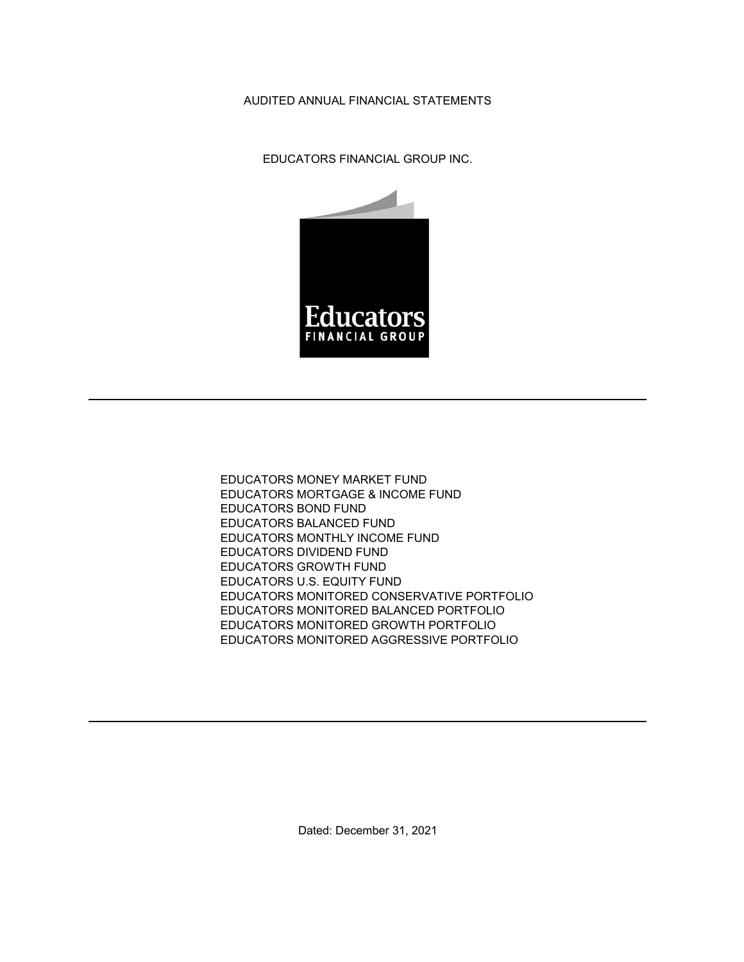## AUDITED ANNUAL FINANCIAL STATEMENTS

EDUCATORS FINANCIAL GROUP INC.



EDUCATORS MONEY MARKET FUND EDUCATORS MORTGAGE & INCOME FUND EDUCATORS BOND FUND EDUCATORS BALANCED FUND EDUCATORS MONTHLY INCOME FUND EDUCATORS DIVIDEND FUND EDUCATORS GROWTH FUND EDUCATORS U.S. EQUITY FUND EDUCATORS MONITORED CONSERVATIVE PORTFOLIO EDUCATORS MONITORED BALANCED PORTFOLIO EDUCATORS MONITORED GROWTH PORTFOLIO EDUCATORS MONITORED AGGRESSIVE PORTFOLIO

Dated: December 31, 2021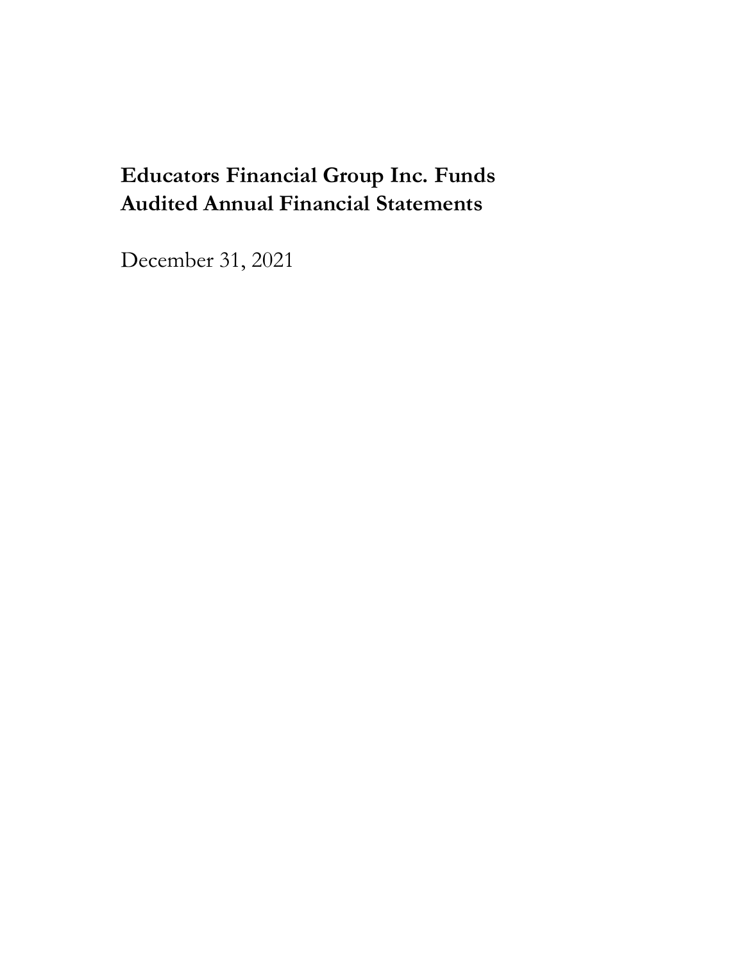## **Educators Financial Group Inc. Funds Audited Annual Financial Statements**

December 31, 2021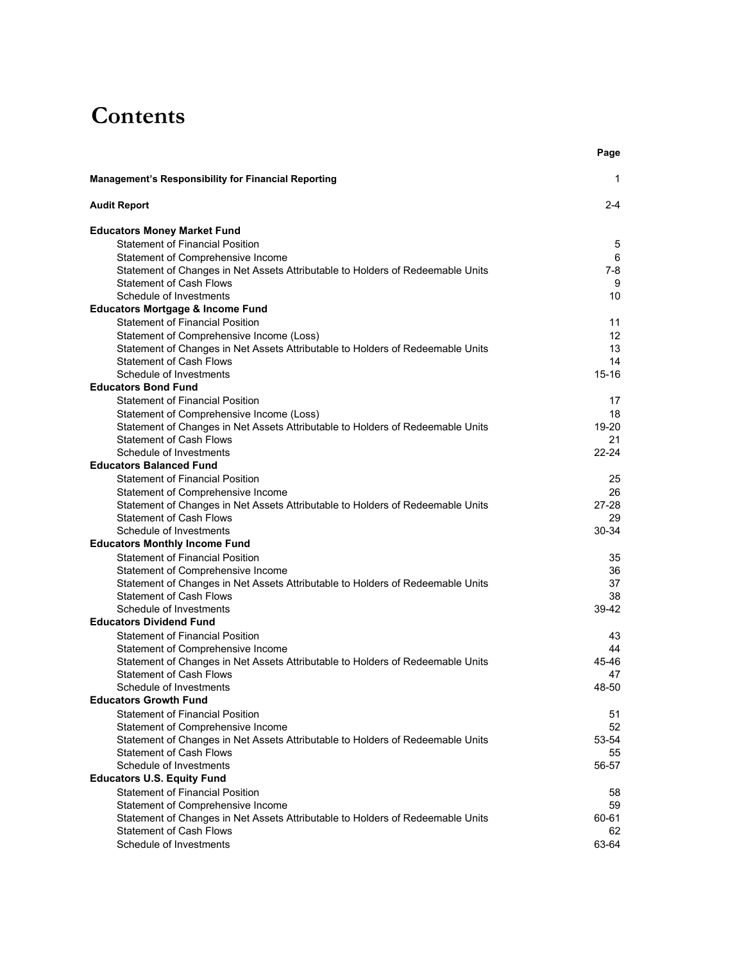## **Contents**

|                                                                                                                  | Page            |
|------------------------------------------------------------------------------------------------------------------|-----------------|
| <b>Management's Responsibility for Financial Reporting</b>                                                       | 1               |
| <b>Audit Report</b>                                                                                              | $2 - 4$         |
| <b>Educators Money Market Fund</b>                                                                               |                 |
| <b>Statement of Financial Position</b>                                                                           | 5               |
| Statement of Comprehensive Income                                                                                | 6               |
| Statement of Changes in Net Assets Attributable to Holders of Redeemable Units                                   | $7 - 8$         |
| <b>Statement of Cash Flows</b>                                                                                   | 9               |
| Schedule of Investments                                                                                          | 10              |
| <b>Educators Mortgage &amp; Income Fund</b>                                                                      |                 |
| <b>Statement of Financial Position</b>                                                                           | 11              |
| Statement of Comprehensive Income (Loss)                                                                         | 12              |
| Statement of Changes in Net Assets Attributable to Holders of Redeemable Units                                   | 13              |
| <b>Statement of Cash Flows</b>                                                                                   | 14              |
| Schedule of Investments                                                                                          | $15 - 16$       |
| <b>Educators Bond Fund</b>                                                                                       |                 |
| <b>Statement of Financial Position</b>                                                                           | 17              |
| Statement of Comprehensive Income (Loss)                                                                         | 18              |
| Statement of Changes in Net Assets Attributable to Holders of Redeemable Units                                   | 19-20           |
| <b>Statement of Cash Flows</b>                                                                                   | 21              |
| Schedule of Investments<br><b>Educators Balanced Fund</b>                                                        | $22 - 24$       |
| <b>Statement of Financial Position</b>                                                                           |                 |
|                                                                                                                  | 25              |
| Statement of Comprehensive Income                                                                                | 26<br>$27 - 28$ |
| Statement of Changes in Net Assets Attributable to Holders of Redeemable Units<br><b>Statement of Cash Flows</b> | 29              |
| Schedule of Investments                                                                                          | 30-34           |
| <b>Educators Monthly Income Fund</b>                                                                             |                 |
| <b>Statement of Financial Position</b>                                                                           | 35              |
| Statement of Comprehensive Income                                                                                | 36              |
| Statement of Changes in Net Assets Attributable to Holders of Redeemable Units                                   | 37              |
| <b>Statement of Cash Flows</b>                                                                                   | 38              |
| Schedule of Investments                                                                                          | 39-42           |
| <b>Educators Dividend Fund</b>                                                                                   |                 |
| <b>Statement of Financial Position</b>                                                                           | 43              |
| Statement of Comprehensive Income                                                                                | 44              |
| Statement of Changes in Net Assets Attributable to Holders of Redeemable Units                                   | 45-46           |
| <b>Statement of Cash Flows</b>                                                                                   | 47              |
| Schedule of Investments                                                                                          | 48-50           |
| <b>Educators Growth Fund</b>                                                                                     |                 |
| <b>Statement of Financial Position</b>                                                                           | 51              |
| Statement of Comprehensive Income                                                                                | 52              |
| Statement of Changes in Net Assets Attributable to Holders of Redeemable Units                                   | 53-54           |
| <b>Statement of Cash Flows</b>                                                                                   | 55              |
| Schedule of Investments                                                                                          | 56-57           |
| <b>Educators U.S. Equity Fund</b>                                                                                |                 |
| <b>Statement of Financial Position</b>                                                                           | 58              |
| Statement of Comprehensive Income                                                                                | 59              |
| Statement of Changes in Net Assets Attributable to Holders of Redeemable Units                                   | 60-61           |
| <b>Statement of Cash Flows</b>                                                                                   | 62              |
| Schedule of Investments                                                                                          | 63-64           |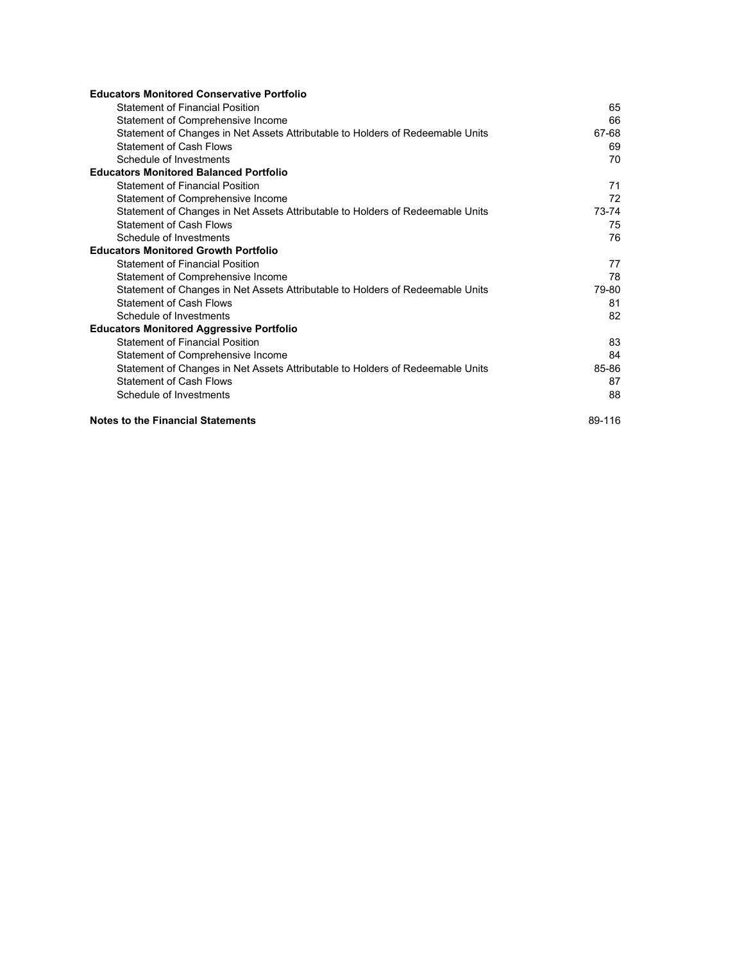| <b>Educators Monitored Conservative Portfolio</b>                              |        |
|--------------------------------------------------------------------------------|--------|
| <b>Statement of Financial Position</b>                                         | 65     |
| Statement of Comprehensive Income                                              | 66     |
| Statement of Changes in Net Assets Attributable to Holders of Redeemable Units | 67-68  |
| <b>Statement of Cash Flows</b>                                                 | 69     |
| Schedule of Investments                                                        | 70     |
| <b>Educators Monitored Balanced Portfolio</b>                                  |        |
| <b>Statement of Financial Position</b>                                         | 71     |
| Statement of Comprehensive Income                                              | 72     |
| Statement of Changes in Net Assets Attributable to Holders of Redeemable Units | 73-74  |
| <b>Statement of Cash Flows</b>                                                 | 75     |
| Schedule of Investments                                                        | 76     |
| <b>Educators Monitored Growth Portfolio</b>                                    |        |
| <b>Statement of Financial Position</b>                                         | 77     |
| Statement of Comprehensive Income                                              | 78     |
| Statement of Changes in Net Assets Attributable to Holders of Redeemable Units | 79-80  |
| <b>Statement of Cash Flows</b>                                                 | 81     |
| Schedule of Investments                                                        | 82     |
| <b>Educators Monitored Aggressive Portfolio</b>                                |        |
| <b>Statement of Financial Position</b>                                         | 83     |
| Statement of Comprehensive Income                                              | 84     |
| Statement of Changes in Net Assets Attributable to Holders of Redeemable Units | 85-86  |
| <b>Statement of Cash Flows</b>                                                 | 87     |
| Schedule of Investments                                                        | 88     |
| <b>Notes to the Financial Statements</b>                                       | 89-116 |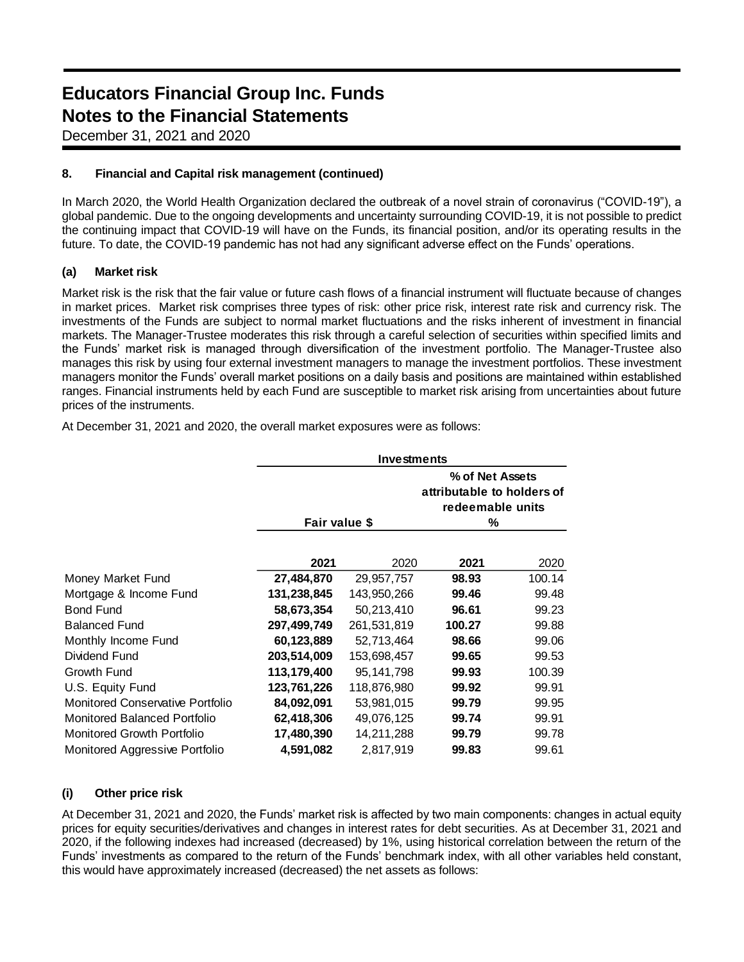## **Educators Financial Group Inc. Funds Notes to the Financial Statements**

December 31, 2021 and 2020

## **8. Financial and Capital risk management (continued)**

In March 2020, the World Health Organization declared the outbreak of a novel strain of coronavirus ("COVID-19"), a global pandemic. Due to the ongoing developments and uncertainty surrounding COVID-19, it is not possible to predict the continuing impact that COVID-19 will have on the Funds, its financial position, and/or its operating results in the future. To date, the COVID-19 pandemic has not had any significant adverse effect on the Funds' operations.

## **(a) Market risk**

Market risk is the risk that the fair value or future cash flows of a financial instrument will fluctuate because of changes in market prices. Market risk comprises three types of risk: other price risk, interest rate risk and currency risk. The investments of the Funds are subject to normal market fluctuations and the risks inherent of investment in financial markets. The Manager-Trustee moderates this risk through a careful selection of securities within specified limits and the Funds' market risk is managed through diversification of the investment portfolio. The Manager-Trustee also manages this risk by using four external investment managers to manage the investment portfolios. These investment managers monitor the Funds' overall market positions on a daily basis and positions are maintained within established ranges. Financial instruments held by each Fund are susceptible to market risk arising from uncertainties about future prices of the instruments.

|                                     | Investments   |              |                                                                        |        |
|-------------------------------------|---------------|--------------|------------------------------------------------------------------------|--------|
|                                     | Fair value \$ |              | % of Net Assets<br>attributable to holders of<br>redeemable units<br>% |        |
|                                     | 2021          | 2020         | 2021                                                                   | 2020   |
| Money Market Fund                   | 27,484,870    | 29,957,757   | 98.93                                                                  | 100.14 |
| Mortgage & Income Fund              | 131,238,845   | 143,950,266  | 99.46                                                                  | 99.48  |
| <b>Bond Fund</b>                    | 58,673,354    | 50,213,410   | 96.61                                                                  | 99.23  |
| <b>Balanced Fund</b>                | 297,499,749   | 261,531,819  | 100.27                                                                 | 99.88  |
| Monthly Income Fund                 | 60,123,889    | 52,713,464   | 98.66                                                                  | 99.06  |
| Dividend Fund                       | 203,514,009   | 153,698,457  | 99.65                                                                  | 99.53  |
| Growth Fund                         | 113,179,400   | 95, 141, 798 | 99.93                                                                  | 100.39 |
| U.S. Equity Fund                    | 123,761,226   | 118,876,980  | 99.92                                                                  | 99.91  |
| Monitored Conservative Portfolio    | 84,092,091    | 53,981,015   | 99.79                                                                  | 99.95  |
| <b>Monitored Balanced Portfolio</b> | 62,418,306    | 49,076,125   | 99.74                                                                  | 99.91  |
| Monitored Growth Portfolio          | 17,480,390    | 14,211,288   | 99.79                                                                  | 99.78  |
| Monitored Aggressive Portfolio      | 4,591,082     | 2,817,919    | 99.83                                                                  | 99.61  |

At December 31, 2021 and 2020, the overall market exposures were as follows:

## **(i) Other price risk**

At December 31, 2021 and 2020, the Funds' market risk is affected by two main components: changes in actual equity prices for equity securities/derivatives and changes in interest rates for debt securities. As at December 31, 2021 and 2020, if the following indexes had increased (decreased) by 1%, using historical correlation between the return of the Funds' investments as compared to the return of the Funds' benchmark index, with all other variables held constant, this would have approximately increased (decreased) the net assets as follows: